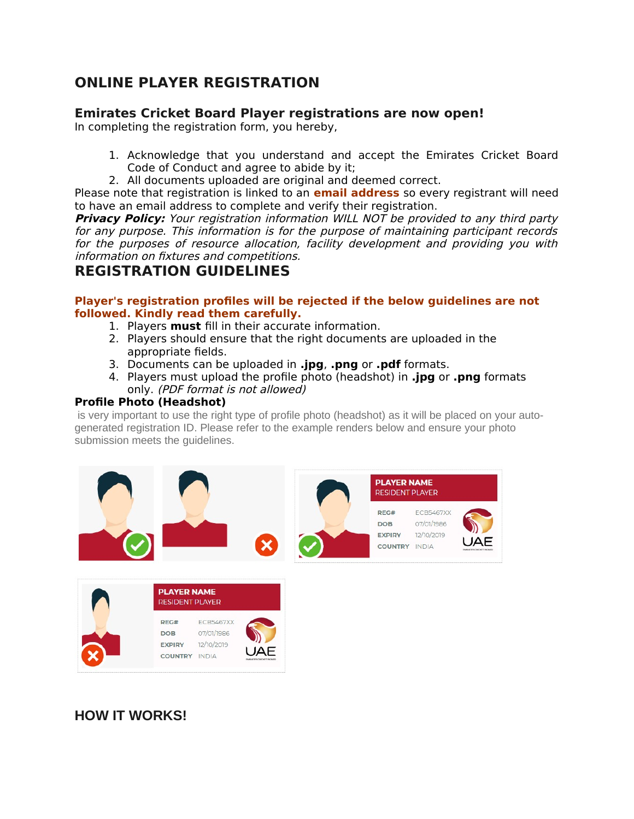# **ONLINE PLAYER REGISTRATION**

### **Emirates Cricket Board Player registrations are now open!**

In completing the registration form, you hereby,

- 1. Acknowledge that you understand and accept the Emirates Cricket Board Code of Conduct and agree to abide by it;
- 2. All documents uploaded are original and deemed correct.

Please note that registration is linked to an **email address** so every registrant will need to have an email address to complete and verify their registration.

**Privacy Policy:** Your registration information WILL NOT be provided to any third party for any purpose. This information is for the purpose of maintaining participant records for the purposes of resource allocation, facility development and providing you with information on fixtures and competitions.

# **REGISTRATION GUIDELINES**

#### **Player's registration profiles will be rejected if the below guidelines are not followed. Kindly read them carefully.**

- 1. Players **must** fill in their accurate information.
- 2. Players should ensure that the right documents are uploaded in the appropriate fields.
- 3. Documents can be uploaded in **.jpg**, **.png** or **.pdf** formats.
- 4. Players must upload the profile photo (headshot) in **.jpg** or **.png** formats only. (PDF format is not allowed)

#### **Profile Photo (Headshot)**

is very important to use the right type of profile photo (headshot) as it will be placed on your autogenerated registration ID. Please refer to the example renders below and ensure your photo submission meets the quidelines.





## **HOW IT WORKS!**